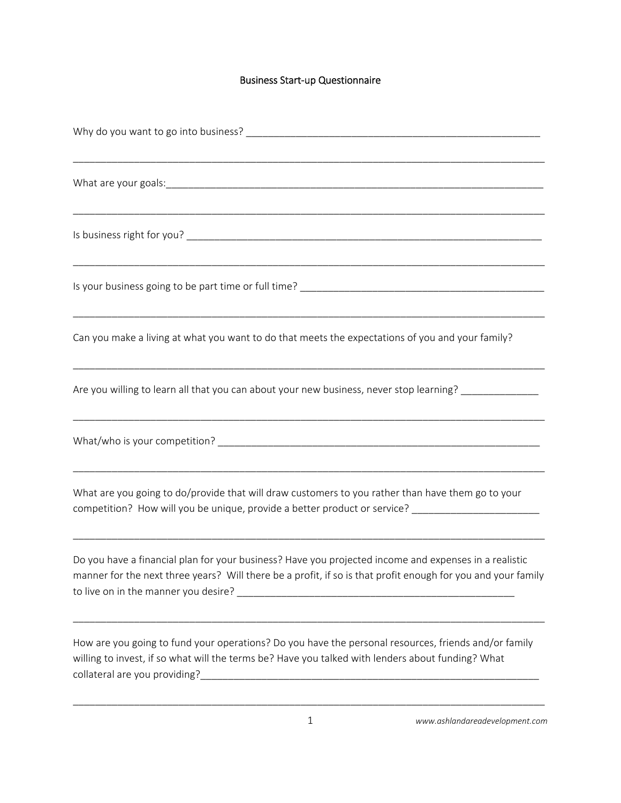## Business Start‐up Questionnaire